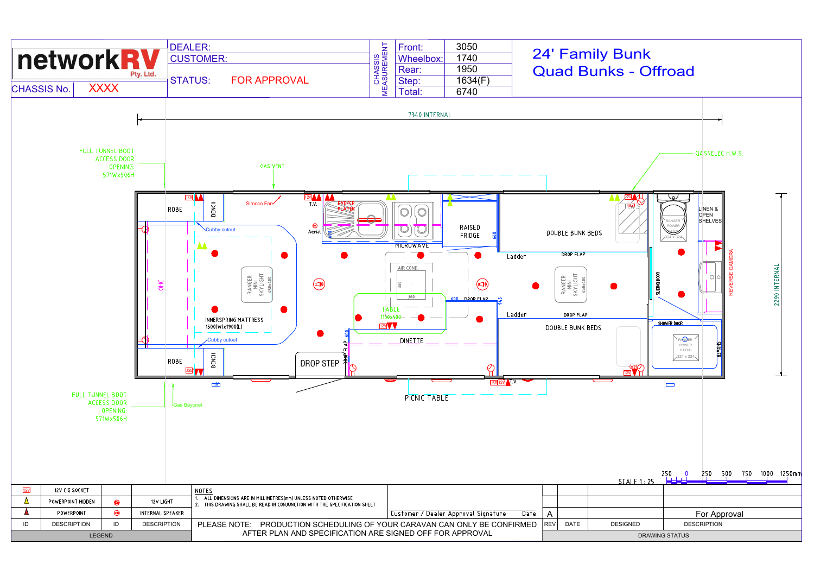